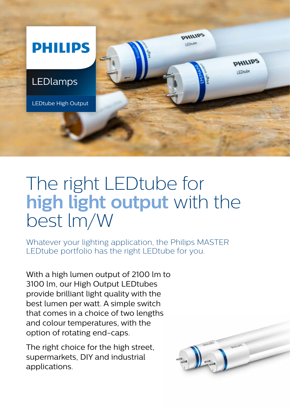

## The right LEDtube for **high light output** with the best lm/W

Whatever your lighting application, the Philips MASTER LEDtube portfolio has the right LEDtube for you.

With a high lumen output of 2100 lm to 3100 lm, our High Output LEDtubes provide brilliant light quality with the best lumen per watt. A simple switch that comes in a choice of two lengths and colour temperatures, with the option of rotating end-caps.

The right choice for the high street, supermarkets, DIY and industrial applications.